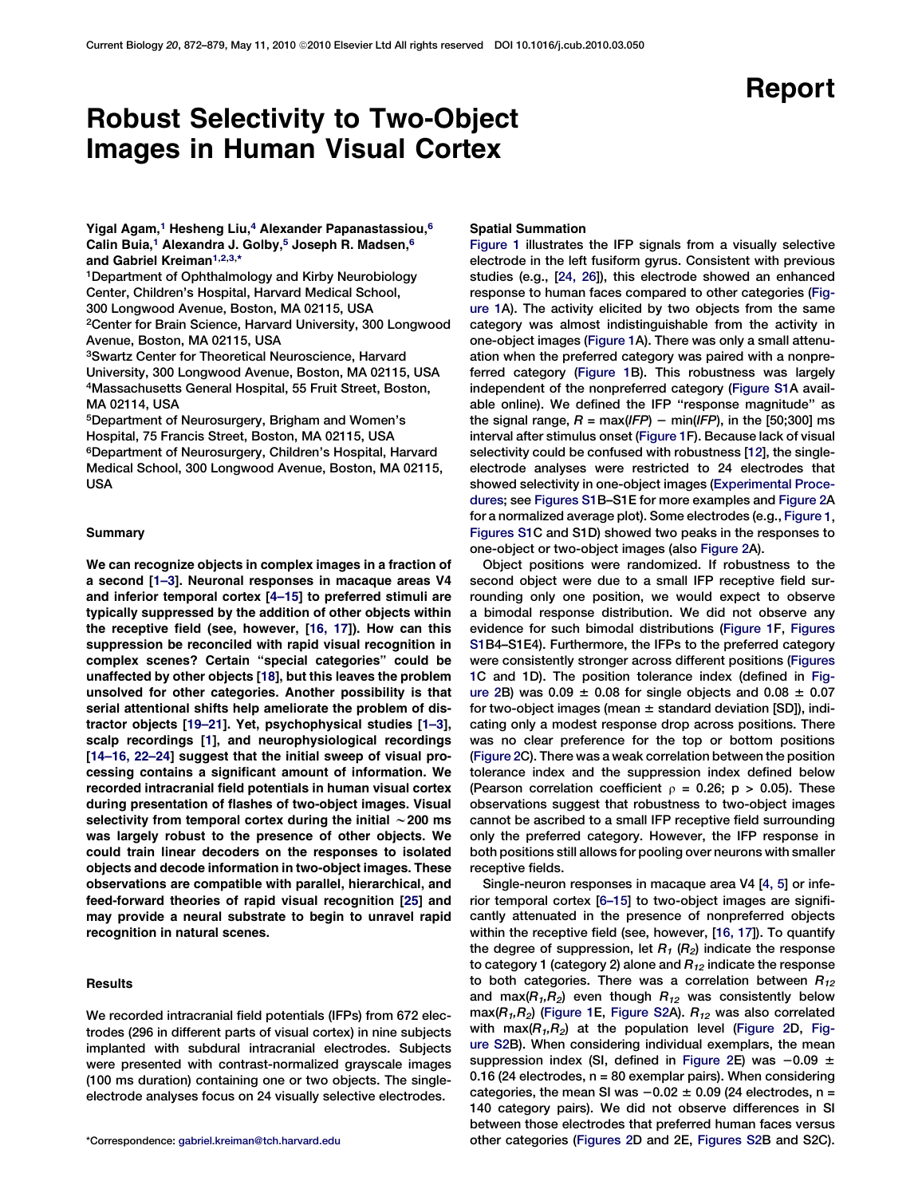# Report

# Robust Selectivity to Two-Object Images in Human Visual Cortex

Yigal Agam,<sup>1</sup> Hesheng Liu,<sup>4</sup> Alexander Papanastassiou,<sup>6</sup> Calin Buia,<sup>1</sup> Alexandra J. Golby,<sup>5</sup> Joseph R. Madsen,<sup>6</sup> and Gabriel Kreiman<sup>1,2,3,\*</sup>

1Department of Ophthalmology and Kirby Neurobiology Center, Children's Hospital, Harvard Medical School, 300 Longwood Avenue, Boston, MA 02115, USA 2Center for Brain Science, Harvard University, 300 Longwood Avenue, Boston, MA 02115, USA

3Swartz Center for Theoretical Neuroscience, Harvard University, 300 Longwood Avenue, Boston, MA 02115, USA 4Massachusetts General Hospital, 55 Fruit Street, Boston, MA 02114, USA

5Department of Neurosurgery, Brigham and Women's Hospital, 75 Francis Street, Boston, MA 02115, USA 6Department of Neurosurgery, Children's Hospital, Harvard Medical School, 300 Longwood Avenue, Boston, MA 02115, USA

## Summary

We can recognize objects in complex images in a fraction of a second [\[1–3](#page-6-0)]. Neuronal responses in macaque areas V4 and inferior temporal cortex [[4–15](#page-6-0)] to preferred stimuli are typically suppressed by the addition of other objects within the receptive field (see, however, [[16, 17\]](#page-6-0)). How can this suppression be reconciled with rapid visual recognition in complex scenes? Certain ''special categories'' could be unaffected by other objects [[18](#page-7-0)], but this leaves the problem unsolved for other categories. Another possibility is that serial attentional shifts help ameliorate the problem of distractor objects [\[19–21\]](#page-7-0). Yet, psychophysical studies [\[1–3](#page-6-0)], scalp recordings [\[1](#page-6-0)], and neurophysiological recordings [\[14–16, 22–24](#page-6-0)] suggest that the initial sweep of visual processing contains a significant amount of information. We recorded intracranial field potentials in human visual cortex during presentation of flashes of two-object images. Visual selectivity from temporal cortex during the initial  $\sim$  200 ms was largely robust to the presence of other objects. We could train linear decoders on the responses to isolated objects and decode information in two-object images. These observations are compatible with parallel, hierarchical, and feed-forward theories of rapid visual recognition [[25\]](#page-7-0) and may provide a neural substrate to begin to unravel rapid recognition in natural scenes.

# **Results**

We recorded intracranial field potentials (IFPs) from 672 electrodes (296 in different parts of visual cortex) in nine subjects implanted with subdural intracranial electrodes. Subjects were presented with contrast-normalized grayscale images (100 ms duration) containing one or two objects. The singleelectrode analyses focus on 24 visually selective electrodes.

# Spatial Summation

[Figure 1](#page-1-0) illustrates the IFP signals from a visually selective electrode in the left fusiform gyrus. Consistent with previous studies (e.g., [\[24, 26](#page-7-0)]), this electrode showed an enhanced response to human faces compared to other categories [\(Fig](#page-1-0)[ure 1](#page-1-0)A). The activity elicited by two objects from the same category was almost indistinguishable from the activity in one-object images ([Figure 1](#page-1-0)A). There was only a small attenuation when the preferred category was paired with a nonpreferred category [\(Figure 1B](#page-1-0)). This robustness was largely independent of the nonpreferred category [\(Figure S1A](#page-6-0) available online). We defined the IFP "response magnitude" as the signal range,  $R = max(IFP) - min(IFP)$ , in the [50;300] ms interval after stimulus onset [\(Figure 1](#page-1-0)F). Because lack of visual selectivity could be confused with robustness [[12\]](#page-6-0), the singleelectrode analyses were restricted to 24 electrodes that showed selectivity in one-object images [\(Experimental Proce](#page-5-0)[dures;](#page-5-0) see [Figures S1B](#page-6-0)–S1E for more examples and [Figure 2A](#page-2-0) for a normalized average plot). Some electrodes (e.g., [Figure](#page-1-0) 1, [Figures](#page-6-0) S1C and S1D) showed two peaks in the responses to one-object or two-object images (also [Figure 2](#page-2-0)A).

Object positions were randomized. If robustness to the second object were due to a small IFP receptive field surrounding only one position, we would expect to observe a bimodal response distribution. We did not observe any evidence for such bimodal distributions [\(Figure 1](#page-1-0)F, [Figures](#page-6-0) [S1B](#page-6-0)4–S1E4). Furthermore, the IFPs to the preferred category were consistently stronger across different positions ([Figures](#page-1-0) [1](#page-1-0)C and 1D). The position tolerance index (defined in [Fig](#page-2-0)[ure 2](#page-2-0)B) was  $0.09 \pm 0.08$  for single objects and  $0.08 \pm 0.07$ for two-object images (mean  $\pm$  standard deviation [SD]), indicating only a modest response drop across positions. There was no clear preference for the top or bottom positions ([Figure 2C](#page-2-0)). There was a weak correlation between the position tolerance index and the suppression index defined below (Pearson correlation coefficient  $\rho = 0.26$ ; p > 0.05). These observations suggest that robustness to two-object images cannot be ascribed to a small IFP receptive field surrounding only the preferred category. However, the IFP response in both positions still allows for pooling over neurons with smaller receptive fields.

Single-neuron responses in macaque area V4 [\[4, 5](#page-6-0)] or inferior temporal cortex [\[6–15\]](#page-6-0) to two-object images are significantly attenuated in the presence of nonpreferred objects within the receptive field (see, however, [[16, 17](#page-6-0)]). To quantify the degree of suppression, let  $R_1$  ( $R_2$ ) indicate the response to category 1 (category 2) alone and  $R_{12}$  indicate the response to both categories. There was a correlation between  $R_{12}$ and max( $R_1, R_2$ ) even though  $R_{12}$  was consistently below max( $R_1, R_2$ ) [\(Figure 1E](#page-1-0), [Figure S2A](#page-6-0)).  $R_{12}$  was also correlated with max( $R_1, R_2$ ) at the population level [\(Figure 2](#page-2-0)D, [Fig](#page-6-0)[ure S2](#page-6-0)B). When considering individual exemplars, the mean suppression index (SI, defined in [Figure 2](#page-2-0)E) was  $-0.09 \pm 0.09$ 0.16 (24 electrodes,  $n = 80$  exemplar pairs). When considering categories, the mean SI was  $-0.02 \pm 0.09$  (24 electrodes, n = 140 category pairs). We did not observe differences in SI between those electrodes that preferred human faces versus \*Correspondence: [gabriel.kreiman@tch.harvard.edu](mailto:gabriel.kreiman@tch.harvard.edu) other categories [\(Figures 2](#page-2-0)D and 2E, [Figures S2B](#page-6-0) and S2C).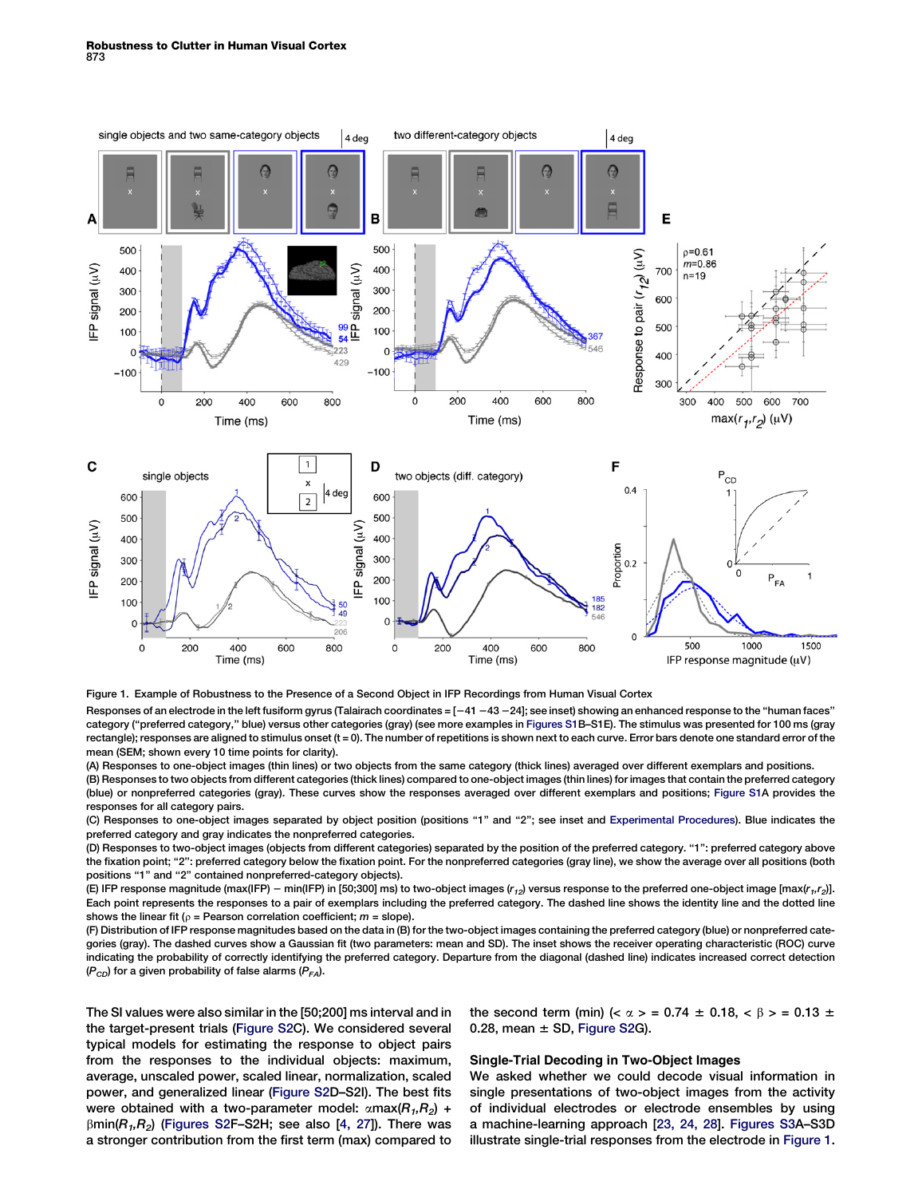<span id="page-1-0"></span>

Figure 1. Example of Robustness to the Presence of a Second Object in IFP Recordings from Human Visual Cortex

Responses of an electrode in the left fusiform gyrus (Talairach coordinates =  $[-41 - 43 - 24]$ ; see inset) showing an enhanced response to the "human faces" category (''preferred category,'' blue) versus other categories (gray) (see more examples in [Figures S1](#page-6-0)B–S1E). The stimulus was presented for 100 ms (gray rectangle); responses are aligned to stimulus onset (t = 0). The number of repetitions is shown next to each curve. Error bars denote one standard error of the mean (SEM; shown every 10 time points for clarity).

(A) Responses to one-object images (thin lines) or two objects from the same category (thick lines) averaged over different exemplars and positions. (B) Responses to two objects from different categories (thick lines) compared to one-object images (thin lines) for images that contain the preferred category (blue) or nonpreferred categories (gray). These curves show the responses averaged over different exemplars and positions; [Figure S1A](#page-6-0) provides the responses for all category pairs.

(C) Responses to one-object images separated by object position (positions "1" and "2"; see inset and [Experimental Procedures](#page-5-0)). Blue indicates the preferred category and gray indicates the nonpreferred categories.

(D) Responses to two-object images (objects from different categories) separated by the position of the preferred category. ''1'': preferred category above the fixation point; "2": preferred category below the fixation point. For the nonpreferred categories (gray line), we show the average over all positions (both positions "1" and "2" contained nonpreferred-category objects).

(E) IFP response magnitude (max(IFP) - min(IFP) in [50;300] ms) to two-object images ( $r_{12}$ ) versus response to the preferred one-object image [max( $r_{11}r_{2}$ ]]. Each point represents the responses to a pair of exemplars including the preferred category. The dashed line shows the identity line and the dotted line shows the linear fit ( $\rho$  = Pearson correlation coefficient;  $m$  = slope).

(F) Distribution of IFP response magnitudes based on the data in (B) for the two-object images containing the preferred category (blue) or nonpreferred categories (gray). The dashed curves show a Gaussian fit (two parameters: mean and SD). The inset shows the receiver operating characteristic (ROC) curve indicating the probability of correctly identifying the preferred category. Departure from the diagonal (dashed line) indicates increased correct detection  $(P_{CD})$  for a given probability of false alarms  $(P_{FA})$ .

The SI values were also similar in the [50;200] ms interval and in the target-present trials [\(Figure S2C](#page-6-0)). We considered several typical models for estimating the response to object pairs from the responses to the individual objects: maximum, average, unscaled power, scaled linear, normalization, scaled power, and generalized linear [\(Figure S2D](#page-6-0)–S2I). The best fits were obtained with a two-parameter model:  $\alpha$ max( $R_1, R_2$ ) +  $\beta$ min( $R_1, R_2$ ) ([Figures S2F](#page-6-0)–S2H; see also [\[4, 27\]](#page-6-0)). There was a stronger contribution from the first term (max) compared to

the second term (min) ( $\alpha$  > = 0.74  $\pm$  0.18,  $\lt$   $\beta$  > = 0.13  $\pm$ 0.28, mean  $\pm$  SD, [Figure S2](#page-6-0)G).

# Single-Trial Decoding in Two-Object Images

We asked whether we could decode visual information in single presentations of two-object images from the activity of individual electrodes or electrode ensembles by using a machine-learning approach [[23, 24, 28\]](#page-7-0). [Figures S3](#page-6-0)A–S3D illustrate single-trial responses from the electrode in Figure 1.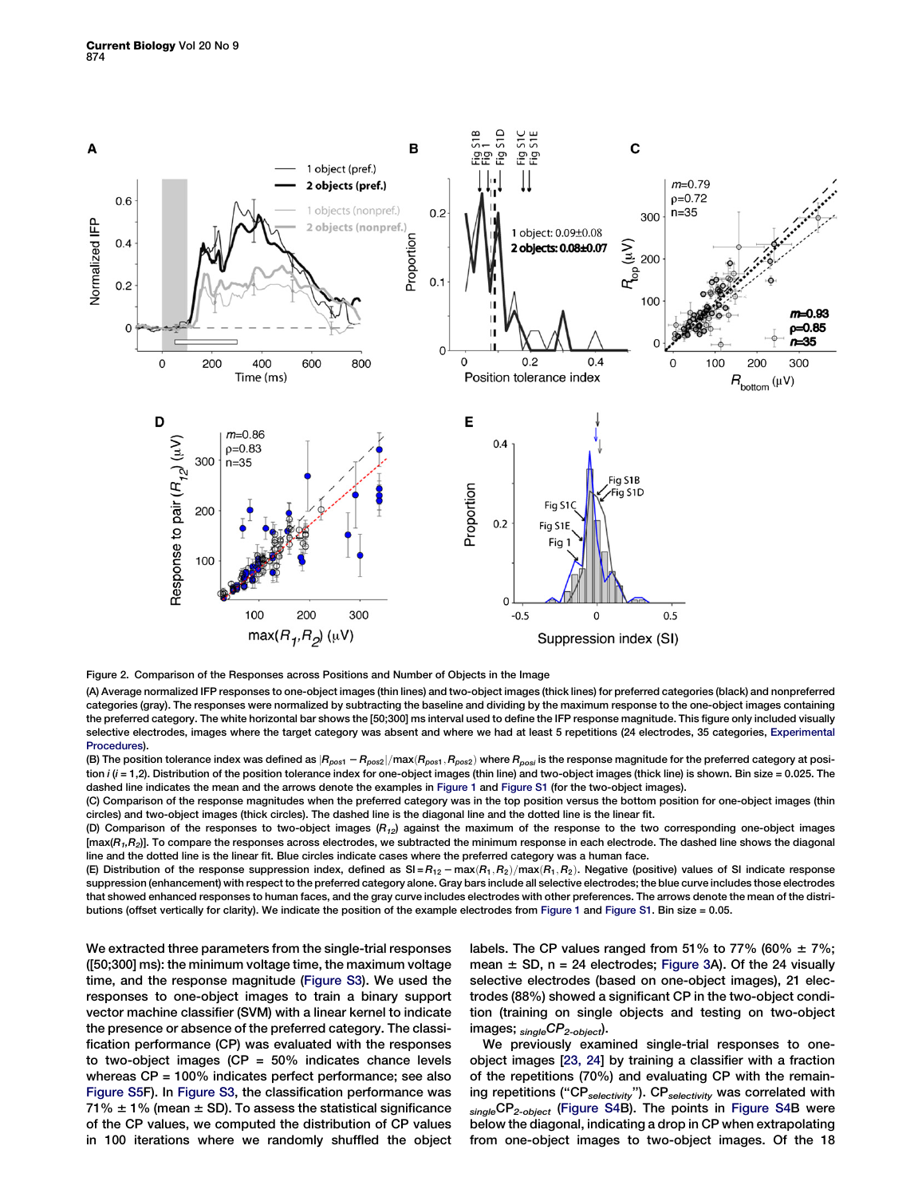<span id="page-2-0"></span>

Figure 2. Comparison of the Responses across Positions and Number of Objects in the Image

(A) Average normalized IFP responses to one-object images (thin lines) and two-object images (thick lines) for preferred categories (black) and nonpreferred categories (gray). The responses were normalized by subtracting the baseline and dividing by the maximum response to the one-object images containing the preferred category. The white horizontal bar shows the [50;300] ms interval used to define the IFP response magnitude. This figure only included visually selective electrodes, images where the target category was absent and where we had at least 5 repetitions (24 electrodes, 35 categories, [Experimental](#page-5-0) [Procedures\)](#page-5-0).

(B) The position tolerance index was defined as  $|R_{post} - R_{post}|/max(R_{post}, R_{post})$  where  $R_{post}$  is the response magnitude for the preferred category at position  $i$  ( $i = 1,2$ ). Distribution of the position tolerance index for one-object images (thin line) and two-object images (thick line) is shown. Bin size = 0.025. The dashed line indicates the mean and the arrows denote the examples in [Figure 1](#page-1-0) and [Figure S1](#page-6-0) (for the two-object images).

(C) Comparison of the response magnitudes when the preferred category was in the top position versus the bottom position for one-object images (thin circles) and two-object images (thick circles). The dashed line is the diagonal line and the dotted line is the linear fit.

(D) Comparison of the responses to two-object images  $(R_{12})$  against the maximum of the response to the two corresponding one-object images  $[\text{max}(R_1, R_2)]$ . To compare the responses across electrodes, we subtracted the minimum response in each electrode. The dashed line shows the diagonal line and the dotted line is the linear fit. Blue circles indicate cases where the preferred category was a human face.

(E) Distribution of the response suppression index, defined as  $SI = R_{12} - max(R_1, R_2)/max(R_1, R_2)$ . Negative (positive) values of SI indicate response suppression (enhancement) with respect to the preferred category alone. Gray bars include all selective electrodes; the blue curve includes those electrodes that showed enhanced responses to human faces, and the gray curve includes electrodes with other preferences. The arrows denote the mean of the distributions (offset vertically for clarity). We indicate the position of the example electrodes from [Figure 1](#page-1-0) and [Figure S1.](#page-6-0) Bin size = 0.05.

We extracted three parameters from the single-trial responses ([50;300] ms): the minimum voltage time, the maximum voltage time, and the response magnitude ([Figure S3\)](#page-6-0). We used the responses to one-object images to train a binary support vector machine classifier (SVM) with a linear kernel to indicate the presence or absence of the preferred category. The classification performance (CP) was evaluated with the responses to two-object images ( $CP = 50\%$  indicates chance levels whereas CP = 100% indicates perfect performance; see also [Figure S5F](#page-6-0)). In [Figure S3,](#page-6-0) the classification performance was 71%  $\pm$  1% (mean  $\pm$  SD). To assess the statistical significance of the CP values, we computed the distribution of CP values in 100 iterations where we randomly shuffled the object labels. The CP values ranged from 51% to 77% (60%  $\pm$  7%; mean  $\pm$  SD, n = 24 electrodes; [Figure 3](#page-3-0)A). Of the 24 visually selective electrodes (based on one-object images), 21 electrodes (88%) showed a significant CP in the two-object condition (training on single objects and testing on two-object images;  $_{\text{single}CP_{2\text{-object}}}$ ).

We previously examined single-trial responses to oneobject images [[23, 24](#page-7-0)] by training a classifier with a fraction of the repetitions (70%) and evaluating CP with the remaining repetitions ("CP<sub>selectivity</sub>"). CP<sub>selectivity</sub> was correlated with singleCP<sub>2-object</sub> [\(Figure S4B](#page-6-0)). The points in [Figure S4B](#page-6-0) were below the diagonal, indicating a drop in CP when extrapolating from one-object images to two-object images. Of the 18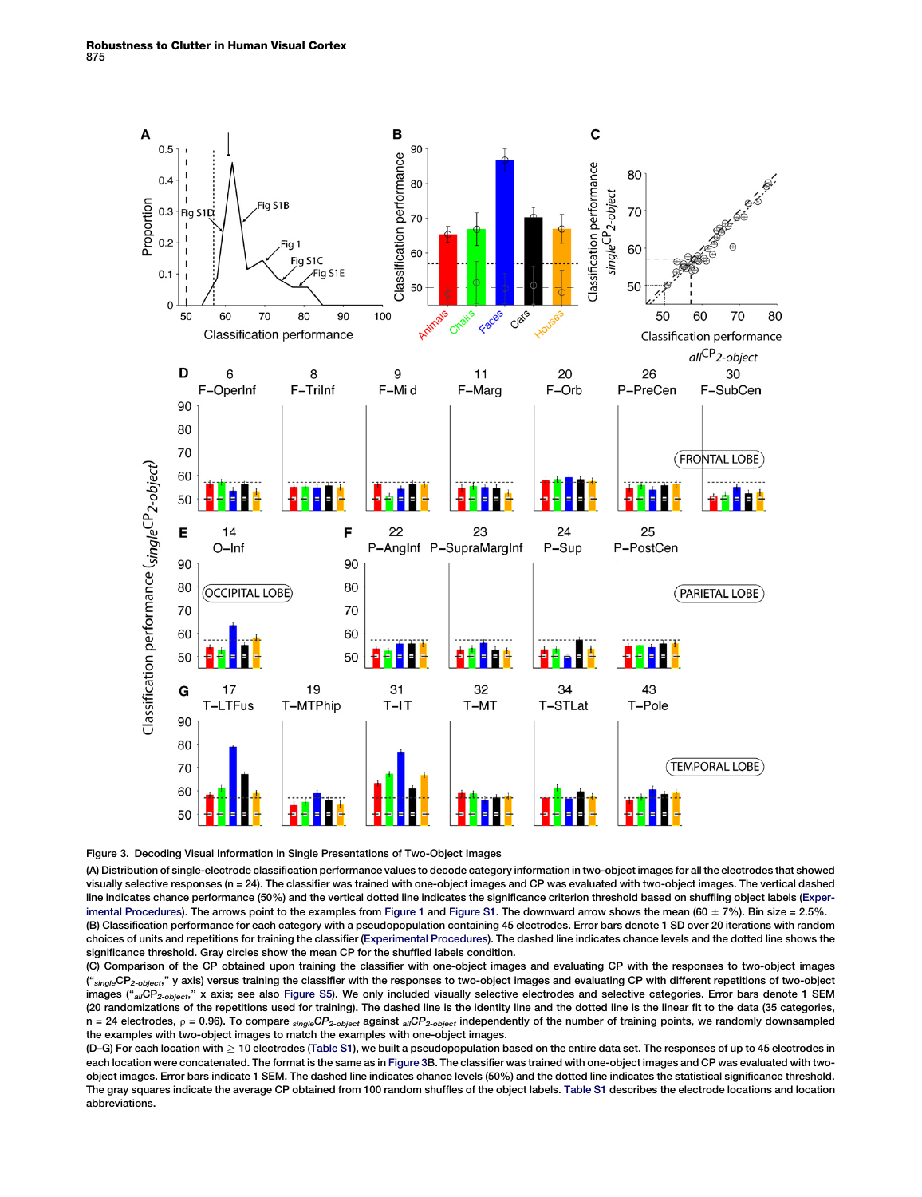<span id="page-3-0"></span>

## Figure 3. Decoding Visual Information in Single Presentations of Two-Object Images

(A) Distribution of single-electrode classification performance values to decode category information in two-object images for all the electrodes that showed visually selective responses (n = 24). The classifier was trained with one-object images and CP was evaluated with two-object images. The vertical dashed line indicates chance performance (50%) and the vertical dotted line indicates the significance criterion threshold based on shuffling object labels [\(Exper](#page-5-0)[imental Procedures](#page-5-0)). The arrows point to the examples from [Figure 1](#page-1-0) and [Figure S1.](#page-6-0) The downward arrow shows the mean (60  $\pm$  7%). Bin size = 2.5%. (B) Classification performance for each category with a pseudopopulation containing 45 electrodes. Error bars denote 1 SD over 20 iterations with random choices of units and repetitions for training the classifier [\(Experimental Procedures](#page-5-0)). The dashed line indicates chance levels and the dotted line shows the significance threshold. Gray circles show the mean CP for the shuffled labels condition.

(C) Comparison of the CP obtained upon training the classifier with one-object images and evaluating CP with the responses to two-object images ("<sub>single</sub>CP<sub>2-object</sub>," y axis) versus training the classifier with the responses to two-object images and evaluating CP with different repetitions of two-object images ("allCP<sub>2-object</sub>," x axis; see also [Figure S5](#page-6-0)). We only included visually selective electrodes and selective categories. Error bars denote 1 SEM (20 randomizations of the repetitions used for training). The dashed line is the identity line and the dotted line is the linear fit to the data (35 categories, n = 24 electrodes,  $\rho$  = 0.96). To compare  $\frac{singleCP_2-object}$  against  $\frac{a_jCP_2-object}$  independently of the number of training points, we randomly downsampled the examples with two-object images to match the examples with one-object images.

(D–G) For each location with ≥ 10 electrodes [\(Table S1](#page-6-0)), we built a pseudopopulation based on the entire data set. The responses of up to 45 electrodes in each location were concatenated. The format is the same as in Figure 3B. The classifier was trained with one-object images and CP was evaluated with twoobject images. Error bars indicate 1 SEM. The dashed line indicates chance levels (50%) and the dotted line indicates the statistical significance threshold. The gray squares indicate the average CP obtained from 100 random shuffles of the object labels. [Table S1](#page-6-0) describes the electrode locations and location abbreviations.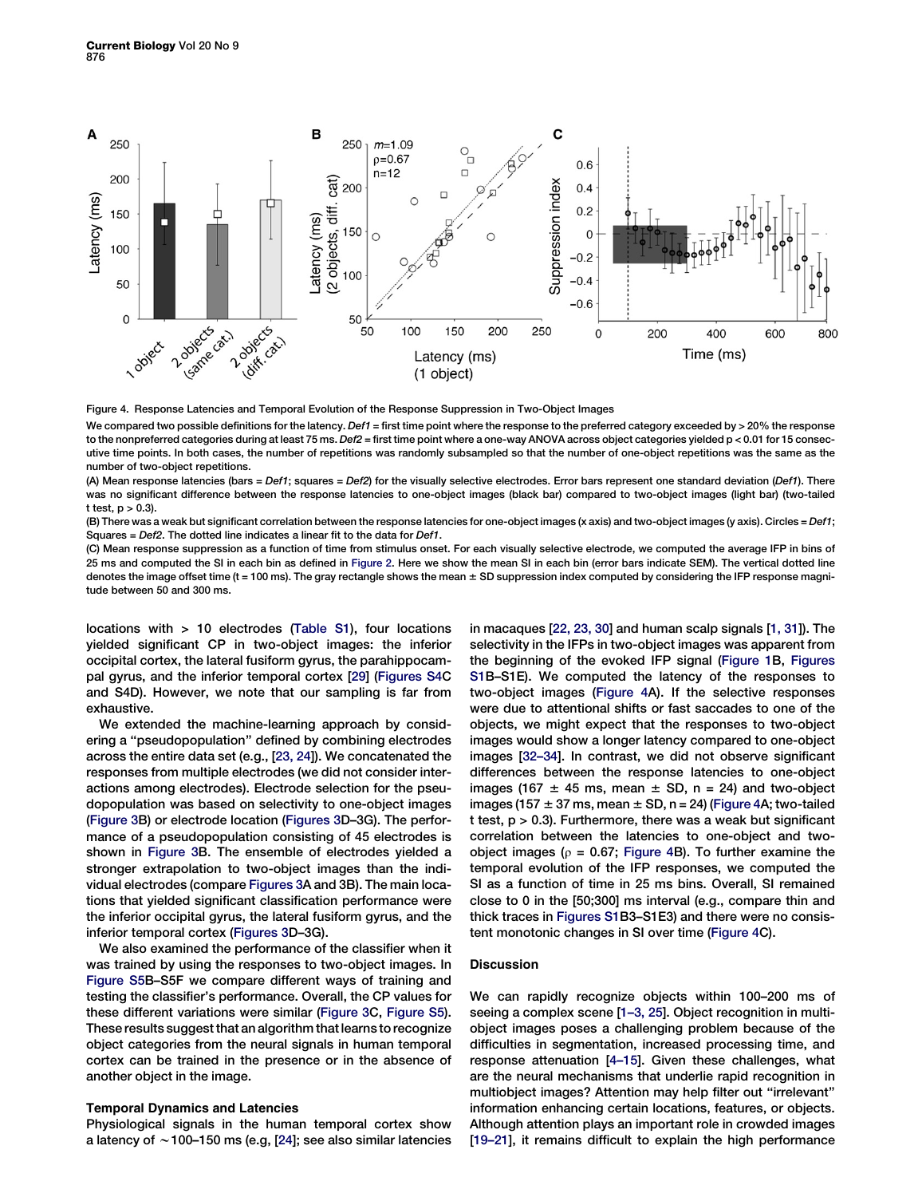<span id="page-4-0"></span>

Figure 4. Response Latencies and Temporal Evolution of the Response Suppression in Two-Object Images

We compared two possible definitions for the latency. Def1 = first time point where the response to the preferred category exceeded by > 20% the response to the nonpreferred categories during at least 75 ms. Def2 = first time point where a one-way ANOVA across object categories yielded p < 0.01 for 15 consecutive time points. In both cases, the number of repetitions was randomly subsampled so that the number of one-object repetitions was the same as the number of two-object repetitions.

(A) Mean response latencies (bars = Def1; squares = Def2) for the visually selective electrodes. Error bars represent one standard deviation (Def1). There was no significant difference between the response latencies to one-object images (black bar) compared to two-object images (light bar) (two-tailed t test,  $p > 0.3$ ).

(B) There was a weak but significant correlation between the response latencies for one-object images (x axis) and two-object images (y axis). Circles = Def1; Squares = Def2. The dotted line indicates a linear fit to the data for Def1.

(C) Mean response suppression as a function of time from stimulus onset. For each visually selective electrode, we computed the average IFP in bins of 25 ms and computed the SI in each bin as defined in [Figure 2](#page-2-0). Here we show the mean SI in each bin (error bars indicate SEM). The vertical dotted line denotes the image offset time (t = 100 ms). The gray rectangle shows the mean  $\pm$  SD suppression index computed by considering the IFP response magnitude between 50 and 300 ms.

locations with > 10 electrodes [\(Table S1](#page-6-0)), four locations yielded significant CP in two-object images: the inferior occipital cortex, the lateral fusiform gyrus, the parahippocampal gyrus, and the inferior temporal cortex [[29](#page-7-0)] [\(Figures S4](#page-6-0)C and S4D). However, we note that our sampling is far from exhaustive.

We extended the machine-learning approach by considering a ''pseudopopulation'' defined by combining electrodes across the entire data set (e.g., [\[23, 24](#page-7-0)]). We concatenated the responses from multiple electrodes (we did not consider interactions among electrodes). Electrode selection for the pseudopopulation was based on selectivity to one-object images ([Figure 3B](#page-3-0)) or electrode location ([Figures 3](#page-3-0)D–3G). The performance of a pseudopopulation consisting of 45 electrodes is shown in [Figure 3B](#page-3-0). The ensemble of electrodes yielded a stronger extrapolation to two-object images than the individual electrodes (compare [Figures 3](#page-3-0)A and 3B). The main locations that yielded significant classification performance were the inferior occipital gyrus, the lateral fusiform gyrus, and the inferior temporal cortex ([Figures 3D](#page-3-0)–3G).

We also examined the performance of the classifier when it was trained by using the responses to two-object images. In [Figure S5B](#page-6-0)–S5F we compare different ways of training and testing the classifier's performance. Overall, the CP values for these different variations were similar ([Figure 3C](#page-3-0), [Figure S5\)](#page-6-0). These results suggest that an algorithm that learns to recognize object categories from the neural signals in human temporal cortex can be trained in the presence or in the absence of another object in the image.

# Temporal Dynamics and Latencies

Physiological signals in the human temporal cortex show a latency of  $\sim$  100–150 ms (e.g, [\[24](#page-7-0)]; see also similar latencies

in macaques [[22, 23, 30\]](#page-7-0) and human scalp signals [\[1, 31\]](#page-6-0)). The selectivity in the IFPs in two-object images was apparent from the beginning of the evoked IFP signal [\(Figure 1](#page-1-0)B, [Figures](#page-6-0) [S1B](#page-6-0)–S1E). We computed the latency of the responses to two-object images (Figure 4A). If the selective responses were due to attentional shifts or fast saccades to one of the objects, we might expect that the responses to two-object images would show a longer latency compared to one-object images [\[32–34\]](#page-7-0). In contrast, we did not observe significant differences between the response latencies to one-object images (167  $\pm$  45 ms, mean  $\pm$  SD, n = 24) and two-object images (157  $\pm$  37 ms, mean  $\pm$  SD, n = 24) (Figure 4A; two-tailed t test, p > 0.3). Furthermore, there was a weak but significant correlation between the latencies to one-object and twoobject images ( $\rho$  = 0.67; Figure 4B). To further examine the temporal evolution of the IFP responses, we computed the SI as a function of time in 25 ms bins. Overall, SI remained close to 0 in the [50;300] ms interval (e.g., compare thin and thick traces in [Figures S1B](#page-6-0)3–S1E3) and there were no consistent monotonic changes in SI over time (Figure 4C).

# Discussion

We can rapidly recognize objects within 100–200 ms of seeing a complex scene [\[1–3, 25\]](#page-6-0). Object recognition in multiobject images poses a challenging problem because of the difficulties in segmentation, increased processing time, and response attenuation [[4–15](#page-6-0)]. Given these challenges, what are the neural mechanisms that underlie rapid recognition in multiobject images? Attention may help filter out ''irrelevant'' information enhancing certain locations, features, or objects. Although attention plays an important role in crowded images [[19–21\]](#page-7-0), it remains difficult to explain the high performance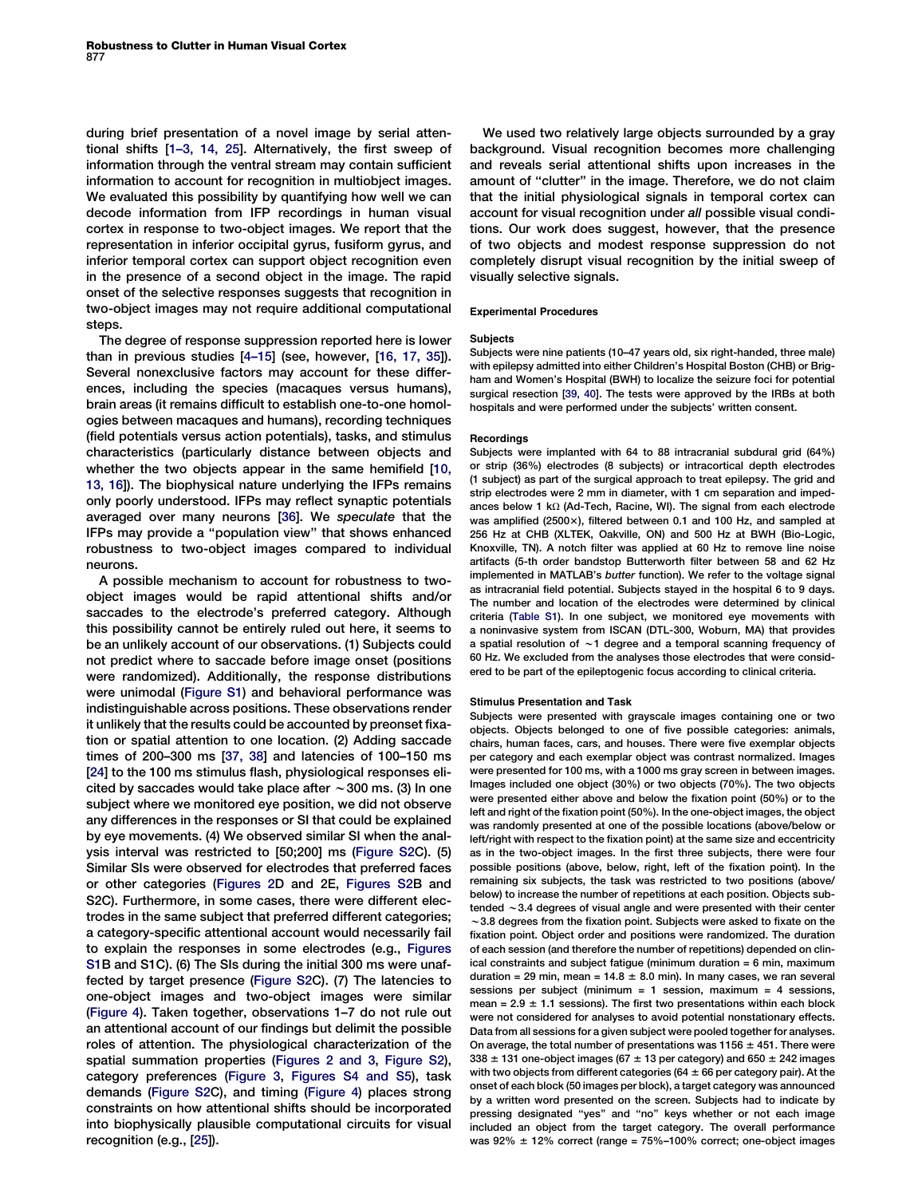<span id="page-5-0"></span>during brief presentation of a novel image by serial attentional shifts [[1–3, 14, 25\]](#page-6-0). Alternatively, the first sweep of information through the ventral stream may contain sufficient information to account for recognition in multiobject images. We evaluated this possibility by quantifying how well we can decode information from IFP recordings in human visual cortex in response to two-object images. We report that the representation in inferior occipital gyrus, fusiform gyrus, and inferior temporal cortex can support object recognition even in the presence of a second object in the image. The rapid onset of the selective responses suggests that recognition in two-object images may not require additional computational steps.

The degree of response suppression reported here is lower than in previous studies [[4–15\]](#page-6-0) (see, however, [\[16, 17, 35](#page-6-0)]). Several nonexclusive factors may account for these differences, including the species (macaques versus humans), brain areas (it remains difficult to establish one-to-one homologies between macaques and humans), recording techniques (field potentials versus action potentials), tasks, and stimulus characteristics (particularly distance between objects and whether the two objects appear in the same hemifield [[10,](#page-6-0) [13, 16\]](#page-6-0)). The biophysical nature underlying the IFPs remains only poorly understood. IFPs may reflect synaptic potentials averaged over many neurons [\[36\]](#page-7-0). We speculate that the IFPs may provide a ''population view'' that shows enhanced robustness to two-object images compared to individual neurons.

A possible mechanism to account for robustness to twoobject images would be rapid attentional shifts and/or saccades to the electrode's preferred category. Although this possibility cannot be entirely ruled out here, it seems to be an unlikely account of our observations. (1) Subjects could not predict where to saccade before image onset (positions were randomized). Additionally, the response distributions were unimodal ([Figure S1\)](#page-6-0) and behavioral performance was indistinguishable across positions. These observations render it unlikely that the results could be accounted by preonset fixation or spatial attention to one location. (2) Adding saccade times of 200–300 ms [\[37, 38](#page-7-0)] and latencies of 100–150 ms [[24](#page-7-0)] to the 100 ms stimulus flash, physiological responses elicited by saccades would take place after  $\sim$  300 ms. (3) In one subject where we monitored eye position, we did not observe any differences in the responses or SI that could be explained by eye movements. (4) We observed similar SI when the analysis interval was restricted to [50;200] ms ([Figure S2](#page-6-0)C). (5) Similar SIs were observed for electrodes that preferred faces or other categories ([Figures 2D](#page-2-0) and 2E, [Figures S2](#page-6-0)B and S2C). Furthermore, in some cases, there were different electrodes in the same subject that preferred different categories; a category-specific attentional account would necessarily fail to explain the responses in some electrodes (e.g., [Figures](#page-6-0) [S1B](#page-6-0) and S1C). (6) The SIs during the initial 300 ms were unaffected by target presence [\(Figure S2](#page-6-0)C). (7) The latencies to one-object images and two-object images were similar ([Figure 4](#page-4-0)). Taken together, observations 1–7 do not rule out an attentional account of our findings but delimit the possible roles of attention. The physiological characterization of the spatial summation properties [\(Figures 2 and 3,](#page-2-0) [Figure S2\)](#page-6-0), category preferences [\(Figure 3,](#page-3-0) [Figures S4 and S5](#page-6-0)), task demands [\(Figure S2C](#page-6-0)), and timing [\(Figure 4\)](#page-4-0) places strong constraints on how attentional shifts should be incorporated into biophysically plausible computational circuits for visual recognition (e.g., [[25](#page-7-0)]).

We used two relatively large objects surrounded by a gray background. Visual recognition becomes more challenging and reveals serial attentional shifts upon increases in the amount of ''clutter'' in the image. Therefore, we do not claim that the initial physiological signals in temporal cortex can account for visual recognition under all possible visual conditions. Our work does suggest, however, that the presence of two objects and modest response suppression do not completely disrupt visual recognition by the initial sweep of visually selective signals.

### Experimental Procedures

# Subjects

Subjects were nine patients (10–47 years old, six right-handed, three male) with epilepsy admitted into either Children's Hospital Boston (CHB) or Brigham and Women's Hospital (BWH) to localize the seizure foci for potential surgical resection [[39, 40\]](#page-7-0). The tests were approved by the IRBs at both hospitals and were performed under the subjects' written consent.

# Recordings

Subjects were implanted with 64 to 88 intracranial subdural grid (64%) or strip (36%) electrodes (8 subjects) or intracortical depth electrodes (1 subject) as part of the surgical approach to treat epilepsy. The grid and strip electrodes were 2 mm in diameter, with 1 cm separation and impedances below 1 k $\Omega$  (Ad-Tech, Racine, WI). The signal from each electrode was amplified  $(2500x)$ , filtered between 0.1 and 100 Hz, and sampled at 256 Hz at CHB (XLTEK, Oakville, ON) and 500 Hz at BWH (Bio-Logic, Knoxville, TN). A notch filter was applied at 60 Hz to remove line noise artifacts (5-th order bandstop Butterworth filter between 58 and 62 Hz implemented in MATLAB's butter function). We refer to the voltage signal as intracranial field potential. Subjects stayed in the hospital 6 to 9 days. The number and location of the electrodes were determined by clinical criteria [\(Table S1](#page-6-0)). In one subject, we monitored eye movements with a noninvasive system from ISCAN (DTL-300, Woburn, MA) that provides a spatial resolution of  $\sim$ 1 degree and a temporal scanning frequency of 60 Hz. We excluded from the analyses those electrodes that were considered to be part of the epileptogenic focus according to clinical criteria.

#### Stimulus Presentation and Task

Subjects were presented with grayscale images containing one or two objects. Objects belonged to one of five possible categories: animals, chairs, human faces, cars, and houses. There were five exemplar objects per category and each exemplar object was contrast normalized. Images were presented for 100 ms, with a 1000 ms gray screen in between images. Images included one object (30%) or two objects (70%). The two objects were presented either above and below the fixation point (50%) or to the left and right of the fixation point (50%). In the one-object images, the object was randomly presented at one of the possible locations (above/below or left/right with respect to the fixation point) at the same size and eccentricity as in the two-object images. In the first three subjects, there were four possible positions (above, below, right, left of the fixation point). In the remaining six subjects, the task was restricted to two positions (above/ below) to increase the number of repetitions at each position. Objects subtended  $\sim$  3.4 degrees of visual angle and were presented with their center  $\sim$  3.8 degrees from the fixation point. Subjects were asked to fixate on the fixation point. Object order and positions were randomized. The duration of each session (and therefore the number of repetitions) depended on clinical constraints and subject fatigue (minimum duration = 6 min, maximum duration = 29 min, mean =  $14.8 \pm 8.0$  min). In many cases, we ran several sessions per subject (minimum  $= 1$  session, maximum  $= 4$  sessions, mean =  $2.9 \pm 1.1$  sessions). The first two presentations within each block were not considered for analyses to avoid potential nonstationary effects. Data from all sessions for a given subject were pooled together for analyses. On average, the total number of presentations was  $1156 \pm 451$ . There were  $338 \pm 131$  one-object images (67  $\pm$  13 per category) and 650  $\pm$  242 images with two objects from different categories (64  $\pm$  66 per category pair). At the onset of each block (50 images per block), a target category was announced by a written word presented on the screen. Subjects had to indicate by pressing designated "yes" and "no" keys whether or not each image included an object from the target category. The overall performance was  $92\% \pm 12\%$  correct (range = 75%–100% correct; one-object images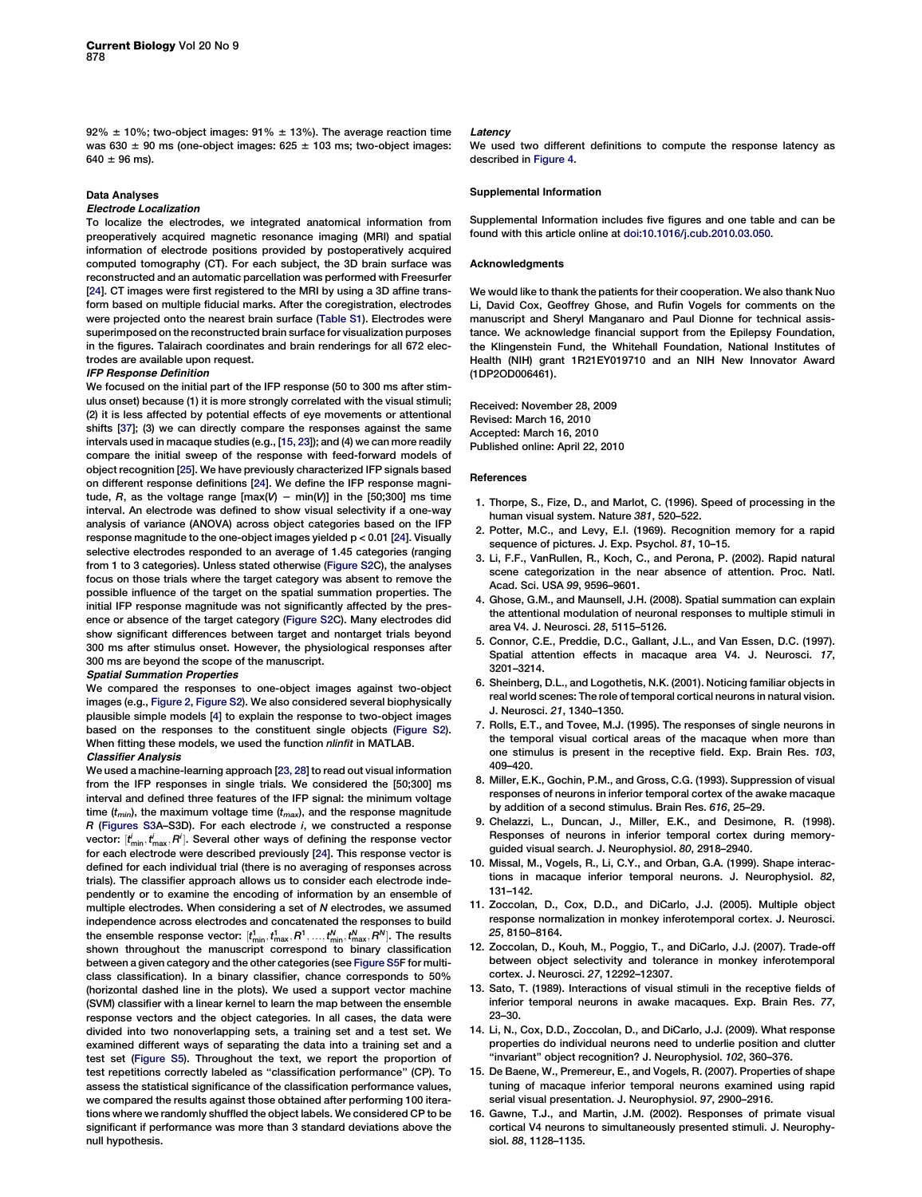<span id="page-6-0"></span>92%  $\pm$  10%; two-object images: 91%  $\pm$  13%). The average reaction time was 630  $\pm$  90 ms (one-object images: 625  $\pm$  103 ms; two-object images:  $640 \pm 96$  ms).

# Data Analyses

#### Electrode Localization

To localize the electrodes, we integrated anatomical information from preoperatively acquired magnetic resonance imaging (MRI) and spatial information of electrode positions provided by postoperatively acquired computed tomography (CT). For each subject, the 3D brain surface was reconstructed and an automatic parcellation was performed with Freesurfer [\[24](#page-7-0)]. CT images were first registered to the MRI by using a 3D affine transform based on multiple fiducial marks. After the coregistration, electrodes were projected onto the nearest brain surface (Table S1). Electrodes were superimposed on the reconstructed brain surface for visualization purposes in the figures. Talairach coordinates and brain renderings for all 672 electrodes are available upon request.

## IFP Response Definition

We focused on the initial part of the IFP response (50 to 300 ms after stimulus onset) because (1) it is more strongly correlated with the visual stimuli; (2) it is less affected by potential effects of eye movements or attentional shifts [[37\]](#page-7-0); (3) we can directly compare the responses against the same intervals used in macaque studies (e.g., [15, 23]); and (4) we can more readily compare the initial sweep of the response with feed-forward models of object recognition [[25](#page-7-0)]. We have previously characterized IFP signals based on different response definitions [\[24\]](#page-7-0). We define the IFP response magnitude, R, as the voltage range  $[\max(V) - \min(V)]$  in the [50;300] ms time interval. An electrode was defined to show visual selectivity if a one-way analysis of variance (ANOVA) across object categories based on the IFP response magnitude to the one-object images yielded p < 0.01 [[24\]](#page-7-0). Visually selective electrodes responded to an average of 1.45 categories (ranging from 1 to 3 categories). Unless stated otherwise (Figure S2C), the analyses focus on those trials where the target category was absent to remove the possible influence of the target on the spatial summation properties. The initial IFP response magnitude was not significantly affected by the presence or absence of the target category (Figure S2C). Many electrodes did show significant differences between target and nontarget trials beyond 300 ms after stimulus onset. However, the physiological responses after 300 ms are beyond the scope of the manuscript.

#### Spatial Summation Properties

We compared the responses to one-object images against two-object images (e.g., [Figure 2,](#page-2-0) Figure S2). We also considered several biophysically plausible simple models [4] to explain the response to two-object images based on the responses to the constituent single objects (Figure S2). When fitting these models, we used the function nlinfit in MATLAB.

# Classifier Analysis

We used a machine-learning approach [[23, 28](#page-7-0)] to read out visual information from the IFP responses in single trials. We considered the [50;300] ms interval and defined three features of the IFP signal: the minimum voltage time  $(t_{min})$ , the maximum voltage time  $(t_{max})$ , and the response magnitude R (Figures S3A–S3D). For each electrode i, we constructed a response vector:  $[t_{\sf min}^i,t_{\sf max}^i,{\sf P}^i]$ . Several other ways of defining the response vector for each electrode were described previously [[24](#page-7-0)]. This response vector is defined for each individual trial (there is no averaging of responses across trials). The classifier approach allows us to consider each electrode independently or to examine the encoding of information by an ensemble of multiple electrodes. When considering a set of N electrodes, we assumed independence across electrodes and concatenated the responses to build the ensemble response vector:  $[t^1_{\min}, t^1_{\max}, R^1,..., t^N_{\min}, t^N_{\max}, R^N].$  The results shown throughout the manuscript correspond to binary classification between a given category and the other categories (see Figure S5F for multiclass classification). In a binary classifier, chance corresponds to 50% (horizontal dashed line in the plots). We used a support vector machine (SVM) classifier with a linear kernel to learn the map between the ensemble response vectors and the object categories. In all cases, the data were divided into two nonoverlapping sets, a training set and a test set. We examined different ways of separating the data into a training set and a test set (Figure S5). Throughout the text, we report the proportion of test repetitions correctly labeled as ''classification performance'' (CP). To assess the statistical significance of the classification performance values, we compared the results against those obtained after performing 100 iterations where we randomly shuffled the object labels. We considered CP to be significant if performance was more than 3 standard deviations above the null hypothesis.

#### **Latency**

We used two different definitions to compute the response latency as described in [Figure 4](#page-4-0).

## Supplemental Information

Supplemental Information includes five figures and one table and can be found with this article online at [doi:10.1016/j.cub.2010.03.050](http://dx.doi.org/doi:10.1016/j.cub.2010.03.050).

#### **Acknowledaments**

We would like to thank the patients for their cooperation. We also thank Nuo Li, David Cox, Geoffrey Ghose, and Rufin Vogels for comments on the manuscript and Sheryl Manganaro and Paul Dionne for technical assistance. We acknowledge financial support from the Epilepsy Foundation, the Klingenstein Fund, the Whitehall Foundation, National Institutes of Health (NIH) grant 1R21EY019710 and an NIH New Innovator Award (1DP2OD006461).

Received: November 28, 2009 Revised: March 16, 2010 Accepted: March 16, 2010 Published online: April 22, 2010

#### References

- 1. Thorpe, S., Fize, D., and Marlot, C. (1996). Speed of processing in the human visual system. Nature 381, 520–522.
- 2. Potter, M.C., and Levy, E.I. (1969). Recognition memory for a rapid sequence of pictures. J. Exp. Psychol. 81, 10–15.
- 3. Li, F.F., VanRullen, R., Koch, C., and Perona, P. (2002). Rapid natural scene categorization in the near absence of attention. Proc. Natl. Acad. Sci. USA 99, 9596–9601.
- 4. Ghose, G.M., and Maunsell, J.H. (2008). Spatial summation can explain the attentional modulation of neuronal responses to multiple stimuli in area V4. J. Neurosci. 28, 5115–5126.
- 5. Connor, C.E., Preddie, D.C., Gallant, J.L., and Van Essen, D.C. (1997). Spatial attention effects in macaque area V4. J. Neurosci. 17, 3201–3214.
- 6. Sheinberg, D.L., and Logothetis, N.K. (2001). Noticing familiar objects in real world scenes: The role of temporal cortical neurons in natural vision. J. Neurosci. 21, 1340–1350.
- 7. Rolls, E.T., and Tovee, M.J. (1995). The responses of single neurons in the temporal visual cortical areas of the macaque when more than one stimulus is present in the receptive field. Exp. Brain Res. 103, 409–420.
- 8. Miller, E.K., Gochin, P.M., and Gross, C.G. (1993). Suppression of visual responses of neurons in inferior temporal cortex of the awake macaque by addition of a second stimulus. Brain Res. 616, 25–29.
- 9. Chelazzi, L., Duncan, J., Miller, E.K., and Desimone, R. (1998). Responses of neurons in inferior temporal cortex during memoryguided visual search. J. Neurophysiol. 80, 2918–2940.
- 10. Missal, M., Vogels, R., Li, C.Y., and Orban, G.A. (1999). Shape interactions in macaque inferior temporal neurons. J. Neurophysiol. 82, 131–142.
- 11. Zoccolan, D., Cox, D.D., and DiCarlo, J.J. (2005). Multiple object response normalization in monkey inferotemporal cortex. J. Neurosci. 25, 8150–8164.
- 12. Zoccolan, D., Kouh, M., Poggio, T., and DiCarlo, J.J. (2007). Trade-off between object selectivity and tolerance in monkey inferotemporal cortex. J. Neurosci. 27, 12292–12307.
- 13. Sato, T. (1989). Interactions of visual stimuli in the receptive fields of inferior temporal neurons in awake macaques. Exp. Brain Res. 77, 23–30.
- 14. Li, N., Cox, D.D., Zoccolan, D., and DiCarlo, J.J. (2009). What response properties do individual neurons need to underlie position and clutter ''invariant'' object recognition? J. Neurophysiol. 102, 360–376.
- 15. De Baene, W., Premereur, E., and Vogels, R. (2007). Properties of shape tuning of macaque inferior temporal neurons examined using rapid serial visual presentation. J. Neurophysiol. 97, 2900–2916.
- 16. Gawne, T.J., and Martin, J.M. (2002). Responses of primate visual cortical V4 neurons to simultaneously presented stimuli. J. Neurophysiol. 88, 1128–1135.